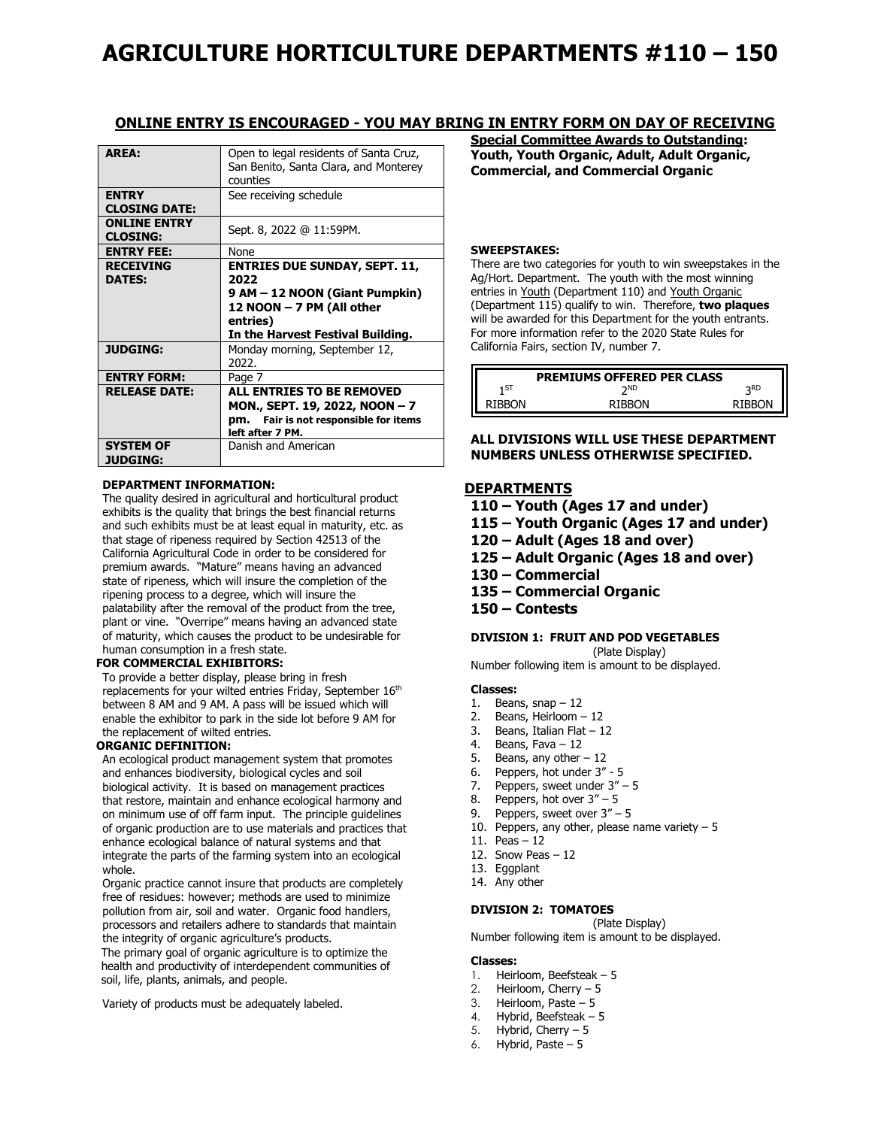# **AGRICULTURE HORTICULTURE DEPARTMENTS #110 – 150**

### **ONLINE ENTRY IS ENCOURAGED - YOU MAY BRING IN ENTRY FORM ON DAY OF RECEIVING**

| <b>AREA:</b>                           | Open to legal residents of Santa Cruz,<br>San Benito, Santa Clara, and Monterey<br>counties                                                                  |
|----------------------------------------|--------------------------------------------------------------------------------------------------------------------------------------------------------------|
| <b>ENTRY</b>                           | See receiving schedule                                                                                                                                       |
| <b>CLOSING DATE:</b>                   |                                                                                                                                                              |
| <b>ONLINE ENTRY</b><br><b>CLOSING:</b> | Sept. 8, 2022 @ 11:59PM.                                                                                                                                     |
| <b>ENTRY FEE:</b>                      | None                                                                                                                                                         |
| <b>RECEIVING</b><br><b>DATES:</b>      | <b>ENTRIES DUE SUNDAY, SEPT. 11,</b><br>2022<br>9 AM – 12 NOON (Giant Pumpkin)<br>12 NOON - 7 PM (All other<br>entries)<br>In the Harvest Festival Building. |
| <b>JUDGING:</b>                        | Monday morning, September 12,<br>2022.                                                                                                                       |
| <b>ENTRY FORM:</b>                     | Page 7                                                                                                                                                       |
| <b>RELEASE DATE:</b>                   | <b>ALL ENTRIES TO BE REMOVED</b><br>MON., SEPT. 19, 2022, NOON - 7<br>Fair is not responsible for items<br>DM.<br>left after 7 PM.                           |
| <b>SYSTEM OF</b><br><b>JUDGING:</b>    | Danish and American                                                                                                                                          |

#### **DEPARTMENT INFORMATION:**

The quality desired in agricultural and horticultural product exhibits is the quality that brings the best financial returns and such exhibits must be at least equal in maturity, etc. as that stage of ripeness required by Section 42513 of the California Agricultural Code in order to be considered for premium awards. "Mature" means having an advanced state of ripeness, which will insure the completion of the ripening process to a degree, which will insure the palatability after the removal of the product from the tree, plant or vine. "Overripe" means having an advanced state of maturity, which causes the product to be undesirable for human consumption in a fresh state.

#### **FOR COMMERCIAL EXHIBITORS:**

To provide a better display, please bring in fresh replacements for your wilted entries Friday, September 16<sup>th</sup> between 8 AM and 9 AM. A pass will be issued which will enable the exhibitor to park in the side lot before 9 AM for the replacement of wilted entries.

#### **ORGANIC DEFINITION:**

An ecological product management system that promotes and enhances biodiversity, biological cycles and soil biological activity. It is based on management practices that restore, maintain and enhance ecological harmony and on minimum use of off farm input. The principle guidelines of organic production are to use materials and practices that enhance ecological balance of natural systems and that integrate the parts of the farming system into an ecological whole.

Organic practice cannot insure that products are completely free of residues: however; methods are used to minimize pollution from air, soil and water. Organic food handlers, processors and retailers adhere to standards that maintain the integrity of organic agriculture's products.

The primary goal of organic agriculture is to optimize the health and productivity of interdependent communities of soil, life, plants, animals, and people.

Variety of products must be adequately labeled.

**Special Committee Awards to Outstanding: Youth, Youth Organic, Adult, Adult Organic, Commercial, and Commercial Organic**

#### **SWEEPSTAKES:**

There are two categories for youth to win sweepstakes in the Ag/Hort. Department. The youth with the most winning entries in Youth (Department 110) and Youth Organic (Department 115) qualify to win. Therefore, **two plaques** will be awarded for this Department for the youth entrants. For more information refer to the 2020 State Rules for California Fairs, section IV, number 7.

| <b>PREMIUMS OFFERED PER CLASS</b> |               |        |
|-----------------------------------|---------------|--------|
| 1ST                               | <b>ን</b> ND   | २RD    |
| RIBBON                            | <b>RIBBON</b> | RIRRON |

#### **ALL DIVISIONS WILL USE THESE DEPARTMENT NUMBERS UNLESS OTHERWISE SPECIFIED.**

### **DEPARTMENTS**

- **110 – Youth (Ages 17 and under)**
- **115 – Youth Organic (Ages 17 and under)**
- **120 – Adult (Ages 18 and over)**
- **125 – Adult Organic (Ages 18 and over)**
- **130 – Commercial**
- **135 – Commercial Organic**
- **150 – Contests**

#### **DIVISION 1: FRUIT AND POD VEGETABLES**

(Plate Display) Number following item is amount to be displayed.

#### **Classes:**

- 1. Beans,  $snap 12$
- 2. Beans, Heirloom 12
- 3. Beans, Italian Flat 12
- 4. Beans, Fava 12
- 5. Beans, any other 12
- 6. Peppers, hot under 3" 5
- 7. Peppers, sweet under 3" 5
- 8. Peppers, hot over 3" 5
- 9. Peppers, sweet over 3" 5
- 10. Peppers, any other, please name variety  $-5$
- 11. Peas 12
- 12. Snow Peas  $-12$
- 13. Eggplant
- 14. Any other

#### **DIVISION 2: TOMATOES**

(Plate Display) Number following item is amount to be displayed.

#### **Classes:**

- 1. Heirloom, Beefsteak 5
- 2. Heirloom, Cherry 5
- 3. Heirloom, Paste 5
- 4. Hybrid, Beefsteak 5
- 5. Hybrid, Cherry 5
- 6. Hybrid, Paste 5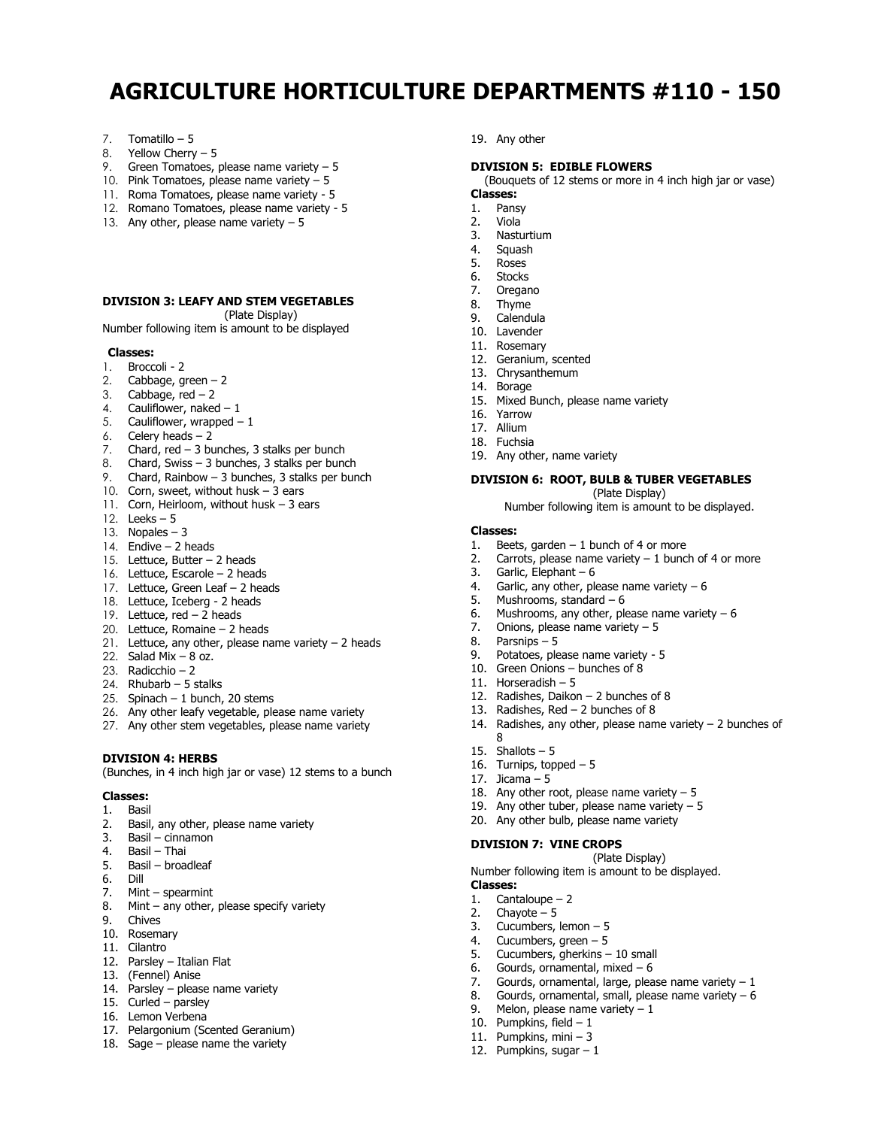# **AGRICULTURE HORTICULTURE DEPARTMENTS #110 - 150**

- 7. Tomatillo 5
- 8. Yellow Cherry 5
- 9. Green Tomatoes, please name variety  $-5$
- 10. Pink Tomatoes, please name variety 5
- 11. Roma Tomatoes, please name variety 5
- 12. Romano Tomatoes, please name variety 5
- 13. Any other, please name variety  $-5$

#### **DIVISION 3: LEAFY AND STEM VEGETABLES**

(Plate Display)

Number following item is amount to be displayed

#### **Classes:**

- 1. Broccoli 2
- 2. Cabbage, green  $-2$
- 3. Cabbage,  $red 2$
- 4. Cauliflower, naked  $-1$
- 5. Cauliflower, wrapped 1
- 6. Celery heads 2
- 6. Celery heads  $-2$ <br>7. Chard, red  $-3$  bunches, 3 stalks per bunch
- 8. Chard, Swiss 3 bunches, 3 stalks per bunch
- 9. Chard, Rainbow 3 bunches, 3 stalks per bunch
- 10. Corn, sweet, without husk 3 ears
- 11. Corn, Heirloom, without husk 3 ears
- 12. Leeks 5
- 13. Nopales 3
- 14. Endive 2 heads
- 15. Lettuce, Butter 2 heads
- 16. Lettuce, Escarole 2 heads
- 17. Lettuce, Green Leaf 2 heads
- 18. Lettuce, Iceberg 2 heads
- 19. Lettuce, red 2 heads
- 20. Lettuce, Romaine 2 heads
- 21. Lettuce, any other, please name variety 2 heads
- 22. Salad Mix  $-8$  oz.
- 23. Radicchio 2
- 24. Rhubarb 5 stalks
- 25. Spinach  $-1$  bunch, 20 stems
- 26. Any other leafy vegetable, please name variety
- 27. Any other stem vegetables, please name variety

#### **DIVISION 4: HERBS**

(Bunches, in 4 inch high jar or vase) 12 stems to a bunch

#### **Classes:**

- 1. Basil
- 2. Basil, any other, please name variety
- 3. Basil cinnamon
- 4. Basil Thai
- 5. Basil broadleaf
- 6. Dill
- 7. Mint spearmint
- 8. Mint any other, please specify variety
- 9. Chives
- 10. Rosemary
- 11. Cilantro
- 12. Parsley Italian Flat
- 13. (Fennel) Anise
- 14. Parsley please name variety
- 15. Curled parsley
- 16. Lemon Verbena
- 17. Pelargonium (Scented Geranium)
- 18. Sage please name the variety

19. Any other

#### **DIVISION 5: EDIBLE FLOWERS**

(Bouquets of 12 stems or more in 4 inch high jar or vase) **Classes:**

- 
- 1. Pansy 2. Viola
- 3. Nasturtium
- 4. Squash
- 5. Roses
- 6. Stocks
- 7. Oregano
- 8. Thyme
- 9. Calendula
- 10. Lavender
- 11. Rosemary
- 12. Geranium, scented
- 13. Chrysanthemum
- 14. Borage
- 15. Mixed Bunch, please name variety
- 16. Yarrow
- 17. Allium
- 18. Fuchsia
- 19. Any other, name variety

### **DIVISION 6: ROOT, BULB & TUBER VEGETABLES**

(Plate Display) Number following item is amount to be displayed.

### **Classes:**

- 1. Beets, garden  $-1$  bunch of 4 or more
- 2. Carrots, please name variety  $-1$  bunch of 4 or more

14. Radishes, any other, please name variety – 2 bunches of

(Plate Display)

7. Gourds, ornamental, large, please name variety  $-1$ 8. Gourds, ornamental, small, please name variety  $-6$ 

- 3. Garlic, Elephant 6
- 4. Garlic, any other, please name variety 6
- 5. Mushrooms, standard 6
- 6. Mushrooms, any other, please name variety  $-6$
- 7. Onions, please name variety 5
- 8. Parsnips 5
- 
- 9. Potatoes, please name variety 5
- 10. Green Onions bunches of 8
- 11. Horseradish 5

8 15. Shallots – 5 16. Turnips, topped – 5 17. Jicama – 5

**Classes:**

1. Cantaloupe – 2 2. Chayote – 5

12. Radishes, Daikon – 2 bunches of 8

18. Any other root, please name variety  $-5$ 19. Any other tuber, please name variety  $-5$ 20. Any other bulb, please name variety

Number following item is amount to be displayed.

13. Radishes, Red  $-2$  bunches of 8

**DIVISION 7: VINE CROPS**

3. Cucumbers, lemon – 5 4. Cucumbers, green – 5 5. Cucumbers, gherkins – 10 small 6. Gourds, ornamental, mixed  $-6$ 

10. Pumpkins, field  $-1$ 11. Pumpkins, mini – 3 12. Pumpkins, sugar  $-1$ 

9. Melon, please name variety – 1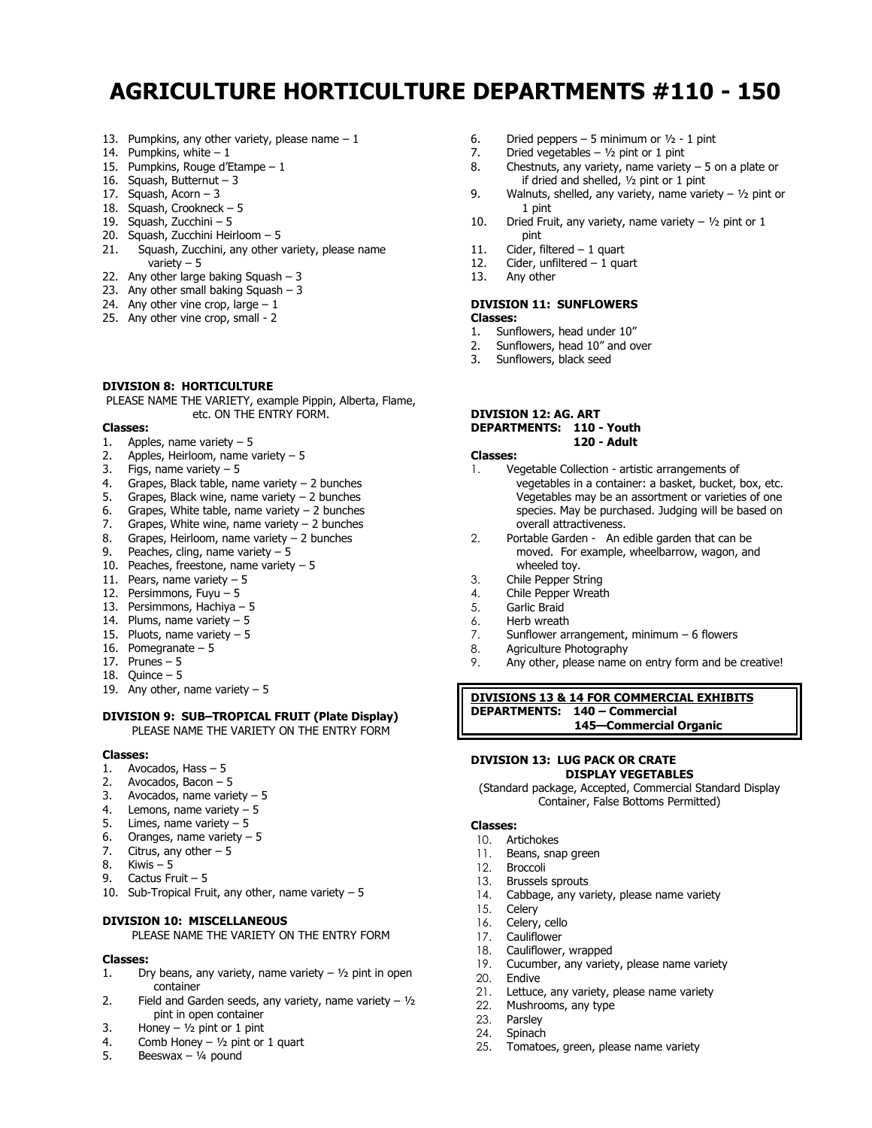# **AGRICULTURE HORTICULTURE DEPARTMENTS #110 - 150**

- 13. Pumpkins, any other variety, please name  $-1$
- 14. Pumpkins, white  $-1$
- 15. Pumpkins, Rouge d'Etampe 1
- 16. Squash, Butternut 3
- 17. Squash, Acorn 3
- 18. Squash, Crookneck 5
- 19. Squash, Zucchini 5
- 20. Squash, Zucchini Heirloom 5
- Squash, Zucchini, any other variety, please name variety – 5
- 22. Any other large baking Squash 3
- 23. Any other small baking Squash  $-3$
- 24. Any other vine crop, large  $-1$
- 25. Any other vine crop, small 2

#### **DIVISION 8: HORTICULTURE**

PLEASE NAME THE VARIETY, example Pippin, Alberta, Flame, etc. ON THE ENTRY FORM.

#### **Classes:**

- 1. Apples, name variety 5
- 2. Apples, Heirloom, name variety 5
- 3. Figs, name variety  $-5$ <br>4. Grapes, Black table, na
- Grapes, Black table, name variety  $-2$  bunches
- 5. Grapes, Black wine, name variety 2 bunches
- 6. Grapes, White table, name variety  $-2$  bunches
- 7. Grapes, White wine, name variety  $-2$  bunches
- 8. Grapes, Heirloom, name variety 2 bunches
- 9. Peaches, cling, name variety  $-5$
- 10. Peaches, freestone, name variety 5
- 11. Pears, name variety 5
- 12. Persimmons, Fuyu 5
- 13. Persimmons, Hachiya 5
- 14. Plums, name variety 5
- 15. Pluots, name variety  $-5$
- 16. Pomegranate 5
- 17. Prunes 5
- 18. Quince 5
- 19. Any other, name variety  $-5$

#### **DIVISION 9: SUB–TROPICAL FRUIT (Plate Display)** PLEASE NAME THE VARIETY ON THE ENTRY FORM

#### **Classes:**

- 1. Avocados, Hass 5
- 2. Avocados, Bacon 5
- 3. Avocados, name variety 5
- 4. Lemons, name variety 5
- 5. Limes, name variety 5
- 6. Oranges, name variety  $-5$
- 7. Citrus, any other  $-5$
- 8. Kiwis 5
- 9. Cactus Fruit 5
- 10. Sub-Tropical Fruit, any other, name variety  $-5$

#### **DIVISION 10: MISCELLANEOUS**

PLEASE NAME THE VARIETY ON THE ENTRY FORM

#### **Classes:**

- 1. Dry beans, any variety, name variety  $\frac{1}{2}$  pint in open container
- 2. Field and Garden seeds, any variety, name variety  $1/2$ pint in open container
- 3. Honey  $1/2$  pint or 1 pint
- 4. Comb Honey  $1/2$  pint or 1 quart
- 5. Beeswax  $\frac{1}{4}$  pound
- 6. Dried peppers 5 minimum or  $1/2$  1 pint
- 7. Dried vegetables  $\frac{1}{2}$  pint or 1 pint
- 8. Chestnuts, any variety, name variety  $-5$  on a plate or if dried and shelled, ½ pint or 1 pint
- 9. Walnuts, shelled, any variety, name variety  $\frac{1}{2}$  pint or 1 pint
- 10. Dried Fruit, any variety, name variety  $\frac{1}{2}$  pint or 1 pint
- 11. Cider, filtered 1 quart
- 12. Cider, unfiltered 1 quart
- 13. Any other

### **DIVISION 11: SUNFLOWERS**

- **Classes:**
- 1. Sunflowers, head under 10"
- 2. Sunflowers, head 10" and over
- 3. Sunflowers, black seed

#### **DIVISION 12: AG. ART DEPARTMENTS: 110 - Youth 120 - Adult**

### **Classes:**

- 1. Vegetable Collection artistic arrangements of
	- vegetables in a container: a basket, bucket, box, etc. Vegetables may be an assortment or varieties of one species. May be purchased. Judging will be based on overall attractiveness.
- 2. Portable Garden An edible garden that can be moved. For example, wheelbarrow, wagon, and wheeled toy.
- 3. Chile Pepper String
- 4. Chile Pepper Wreath
- 5. Garlic Braid
- 
- 6. Herb wreath<br>7. Sunflower arm 7. Sunflower arrangement, minimum – 6 flowers
- Agriculture Photography
- 9. Any other, please name on entry form and be creative!

#### **DIVISIONS 13 & 14 FOR COMMERCIAL EXHIBITS DEPARTMENTS: 140 – Commercial 145—Commercial Organic**

#### **DIVISION 13: LUG PACK OR CRATE DISPLAY VEGETABLES**

(Standard package, Accepted, Commercial Standard Display Container, False Bottoms Permitted)

#### **Classes:**

- 10. Artichokes
- 11. Beans, snap green<br>12. Broccoli
- **Broccoli**
- 13. Brussels sprouts
- 14. Cabbage, any variety, please name variety
- 15. Celery
- 16. Celery, cello
- 17. Cauliflower
- 
- 18. Cauliflower, wrapped<br>19. Cucumber, any variet 19. Cucumber, any variety, please name variety 20. Endive
- 
- 20. Endive<br>21. Lettuce 21. Lettuce, any variety, please name variety<br>22. Mushrooms. any type

25. Tomatoes, green, please name variety

- 22. Mushrooms, any type<br>23. Parsley
- Parsley
- 24. Spinach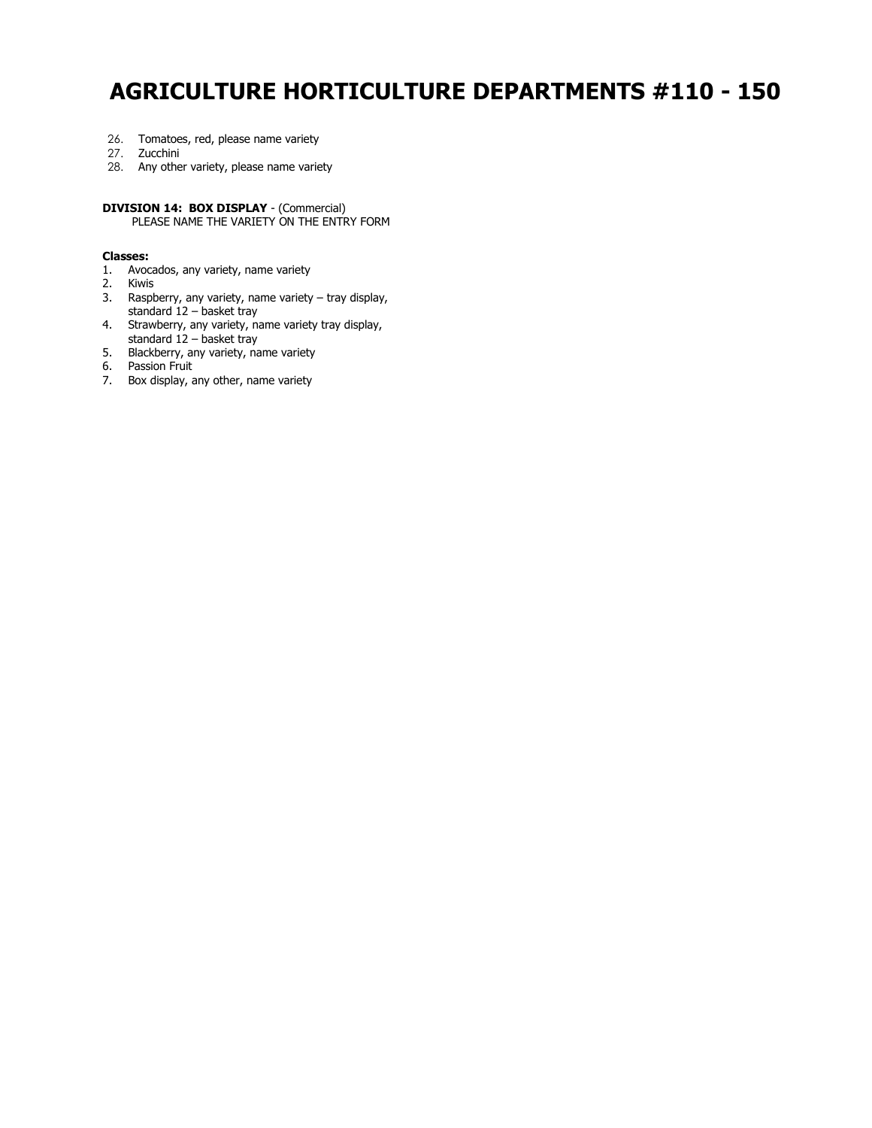# **AGRICULTURE HORTICULTURE DEPARTMENTS #110 - 150**

- 26. Tomatoes, red, please name variety
- 27. Zucchini
- 28. Any other variety, please name variety

**DIVISION 14: BOX DISPLAY** - (Commercial) PLEASE NAME THE VARIETY ON THE ENTRY FORM

#### **Classes:**

- 1. Avocados, any variety, name variety
- 2. Kiwis
- 3. Raspberry, any variety, name variety tray display, standard 12 – basket tray
- 4. Strawberry, any variety, name variety tray display, standard 12 – basket tray
- 5. Blackberry, any variety, name variety
- 6. Passion Fruit
- 7. Box display, any other, name variety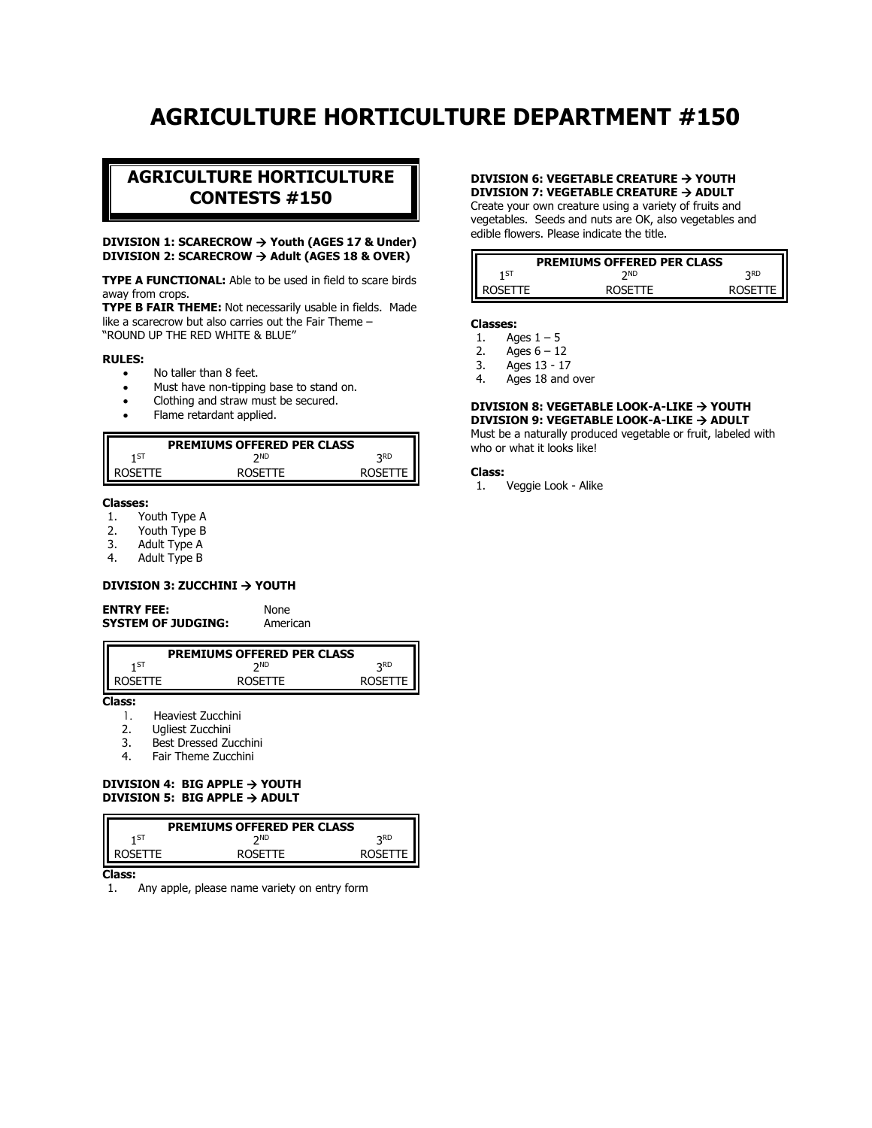# **AGRICULTURE HORTICULTURE DEPARTMENT #150**

### **AGRICULTURE HORTICULTURE CONTESTS #150**

#### **DIVISION 1: SCARECROW** → **Youth (AGES 17 & Under) DIVISION 2: SCARECROW** → **Adult (AGES 18 & OVER)**

**TYPE A FUNCTIONAL:** Able to be used in field to scare birds away from crops.

**TYPE B FAIR THEME:** Not necessarily usable in fields. Made like a scarecrow but also carries out the Fair Theme – "ROUND UP THE RED WHITE & BLUE"

#### **RULES:**

- No taller than 8 feet.
- Must have non-tipping base to stand on.
- Clothing and straw must be secured.
- Flame retardant applied.

| <b>PREMIUMS OFFERED PER CLASS</b> |    |            |
|-----------------------------------|----|------------|
| 1 ST                              | ND | <b>DRD</b> |
|                                   |    |            |

#### **Classes:**

- 1. Youth Type A
- 2. Youth Type B
- 3. Adult Type A
- Adult Type B

#### **DIVISION 3: ZUCCHINI** → **YOUTH**

| <b>ENTRY FEE:</b>         |  |
|---------------------------|--|
| <b>SYSTEM OF JUDGING:</b> |  |

**None American** 

| <b>PREMIUMS OFFERED PER CLASS</b> |                |              |
|-----------------------------------|----------------|--------------|
| 1 ST                              | ንND            | つRD          |
| ROSETTE.                          | <b>ROSETTE</b> | <b>ROSET</b> |

**Class:**

- 1. Heaviest Zucchini
- 2. Ugliest Zucchini
- 3. Best Dressed Zucchini
- 4. Fair Theme Zucchini

#### **DIVISION 4: BIG APPLE** → **YOUTH DIVISION 5: BIG APPLE** → **ADULT**

| <b>PREMIUMS OFFERED PER CLASS</b> |                |            |
|-----------------------------------|----------------|------------|
| 1 ST                              | <b>DND</b>     | <b>DRD</b> |
| ROSFTTF                           | <b>ROSETTE</b> | ROSETTE    |

**Class:**

1. Any apple, please name variety on entry form

#### **DIVISION 6: VEGETABLE CREATURE** → **YOUTH DIVISION 7: VEGETABLE CREATURE** → **ADULT**

Create your own creature using a variety of fruits and vegetables. Seeds and nuts are OK, also vegetables and edible flowers. Please indicate the title.

| <b>PREMIUMS OFFERED PER CLASS</b> |                |           |
|-----------------------------------|----------------|-----------|
| 1 ST                              | ንND            | っRD       |
| <b>ROSETTE</b>                    | <b>ROSETTE</b> | ROSETTE I |

#### **Classes:**

- 1. Ages  $1 5$
- 2. Ages  $6 12$
- 3. Ages 13 17
- 4. Ages 18 and over

## **DIVISION 8: VEGETABLE LOOK-A-LIKE** → **YOUTH**

**DIVISION 9: VEGETABLE LOOK-A-LIKE** → **ADULT** Must be a naturally produced vegetable or fruit, labeled with who or what it looks like!

#### **Class:**

1. Veggie Look - Alike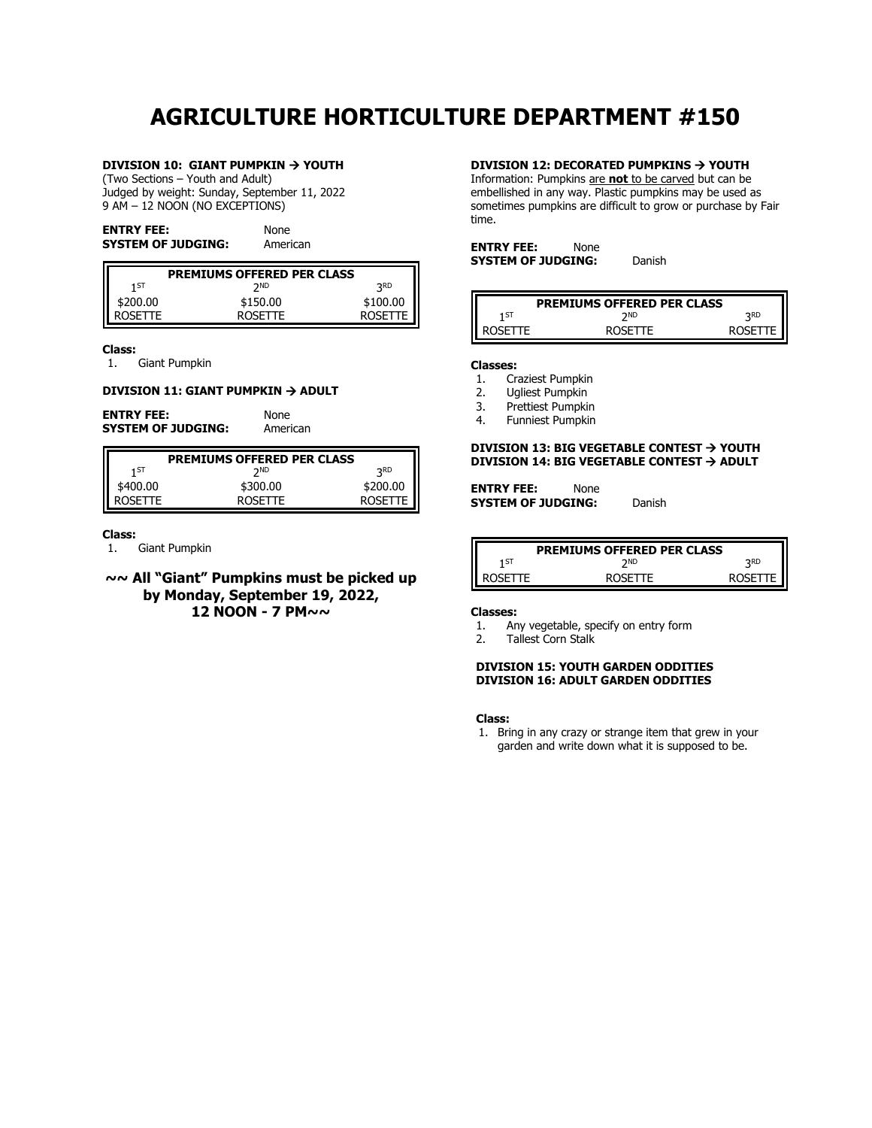# **AGRICULTURE HORTICULTURE DEPARTMENT #150**

#### **DIVISION 10: GIANT PUMPKIN** → **YOUTH**

(Two Sections – Youth and Adult) Judged by weight: Sunday, September 11, 2022 9 AM – 12 NOON (NO EXCEPTIONS)

| <b>ENTRY FEE:</b>         | None     |
|---------------------------|----------|
| <b>SYSTEM OF JUDGING:</b> | American |

| <b>PREMIUMS OFFERED PER CLASS</b> |                |            |
|-----------------------------------|----------------|------------|
| 1 ST                              | ንND            | <b>3KD</b> |
| \$200.00                          | \$150.00       | \$100.00   |
| ROSFTTF                           | <b>ROSETTE</b> |            |

**Class:**

1. Giant Pumpkin

#### **DIVISION 11: GIANT PUMPKIN** → **ADULT**

**ENTRY FEE:** None **SYSTEM OF JUDGING:** American

| <b>PREMIUMS OFFERED PER CLASS</b> |          |  |
|-----------------------------------|----------|--|
| ንND                               | つRD      |  |
| \$300.00                          | \$200.00 |  |
| <b>ROSETTE</b>                    |          |  |
|                                   |          |  |

#### **Class:**

1. Giant Pumpkin

**~~ All "Giant" Pumpkins must be picked up by Monday, September 19, 2022, 12 NOON - 7 PM~~**

#### **DIVISION 12: DECORATED PUMPKINS** → **YOUTH**

Information: Pumpkins are **not** to be carved but can be embellished in any way. Plastic pumpkins may be used as sometimes pumpkins are difficult to grow or purchase by Fair time.

| <b>ENTRY FEE:</b>         | None |        |
|---------------------------|------|--------|
| <b>SYSTEM OF JUDGING:</b> |      | Danish |

| <b>PREMIUMS OFFERED PER CLASS</b> |                |            |
|-----------------------------------|----------------|------------|
| 1 ST                              | ንND            | <b>2RD</b> |
| <b>ROSETTE</b>                    | <b>ROSETTE</b> | ROSETTE I  |

#### **Classes:**

- 1. Craziest Pumpkin
- 2. Ugliest Pumpkin<br>3. Prettiest Pumpkin
- 3. Prettiest Pumpkin
- 4. Funniest Pumpkin

#### **DIVISION 13: BIG VEGETABLE CONTEST** → **YOUTH DIVISION 14: BIG VEGETABLE CONTEST** → **ADULT**

| <b>ENTRY FEE:</b>  | None |        |
|--------------------|------|--------|
| SYSTEM OF JUDGING: |      | Danish |

|                | <b>PREMIUMS OFFERED PER CLASS</b> |                |
|----------------|-----------------------------------|----------------|
| 1 ST           | ንND                               | <b>2RD</b>     |
| <b>ROSETTE</b> | <b>ROSETTE</b>                    | <b>ROSETTE</b> |

#### **Classes:**

- 1. Any vegetable, specify on entry form
- 2. Tallest Corn Stalk

#### **DIVISION 15: YOUTH GARDEN ODDITIES DIVISION 16: ADULT GARDEN ODDITIES**

**Class:**

1. Bring in any crazy or strange item that grew in your garden and write down what it is supposed to be.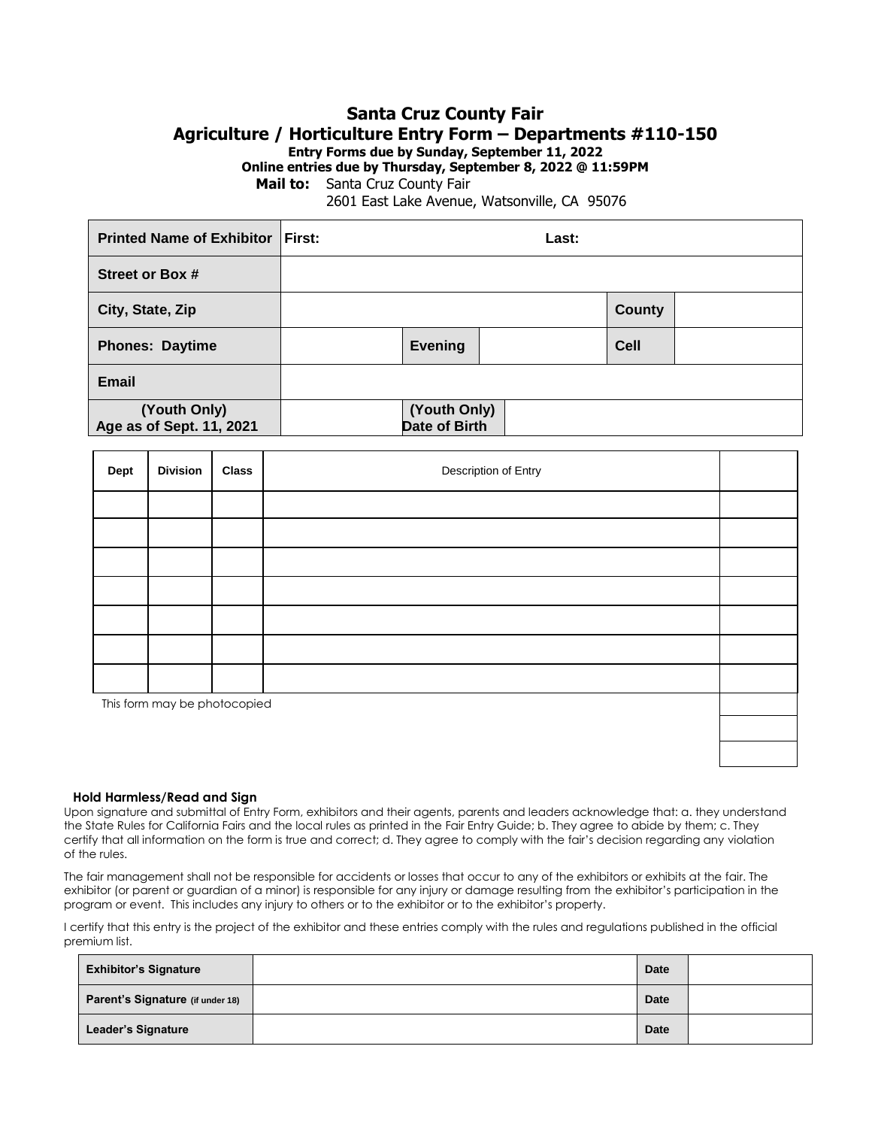### **Santa Cruz County Fair Agriculture / Horticulture Entry Form – Departments #110-150 Entry Forms due by Sunday, September 11, 2022 Online entries due by Thursday, September 8, 2022 @ 11:59PM**

 **Mail to:** Santa Cruz County Fair

<span id="page-6-0"></span>2601 East Lake Avenue, Watsonville, CA 95076

| <b>Printed Name of Exhibitor First:</b>  |                                      | Last: |             |  |
|------------------------------------------|--------------------------------------|-------|-------------|--|
| Street or Box #                          |                                      |       |             |  |
| City, State, Zip                         |                                      |       | County      |  |
| <b>Phones: Daytime</b>                   | <b>Evening</b>                       |       | <b>Cell</b> |  |
| <b>Email</b>                             |                                      |       |             |  |
| (Youth Only)<br>Age as of Sept. 11, 2021 | (Youth Only)<br><b>Date of Birth</b> |       |             |  |

| <b>Dept</b> | <b>Division</b>              | <b>Class</b> | Description of Entry |  |
|-------------|------------------------------|--------------|----------------------|--|
|             |                              |              |                      |  |
|             |                              |              |                      |  |
|             |                              |              |                      |  |
|             |                              |              |                      |  |
|             |                              |              |                      |  |
|             |                              |              |                      |  |
|             |                              |              |                      |  |
|             | This form may be photocopied |              |                      |  |
|             |                              |              |                      |  |
|             |                              |              |                      |  |

#### **Hold Harmless/Read and Sign**

Upon signature and submittal of Entry Form, exhibitors and their agents, parents and leaders acknowledge that: a. they understand the State Rules for California Fairs and the local rules as printed in the Fair Entry Guide; b. They agree to abide by them; c. They certify that all information on the form is true and correct; d. They agree to comply with the fair's decision regarding any violation of the rules.

The fair management shall not be responsible for accidents or losses that occur to any of the exhibitors or exhibits at the fair. The exhibitor (or parent or guardian of a minor) is responsible for any injury or damage resulting from the exhibitor's participation in the program or event. This includes any injury to others or to the exhibitor or to the exhibitor's property.

I certify that this entry is the project of the exhibitor and these entries comply with the rules and regulations published in the official premium list.

| <b>Exhibitor's Signature</b>     | <b>Date</b> |  |
|----------------------------------|-------------|--|
| Parent's Signature (if under 18) | <b>Date</b> |  |
| <b>Leader's Signature</b>        | <b>Date</b> |  |